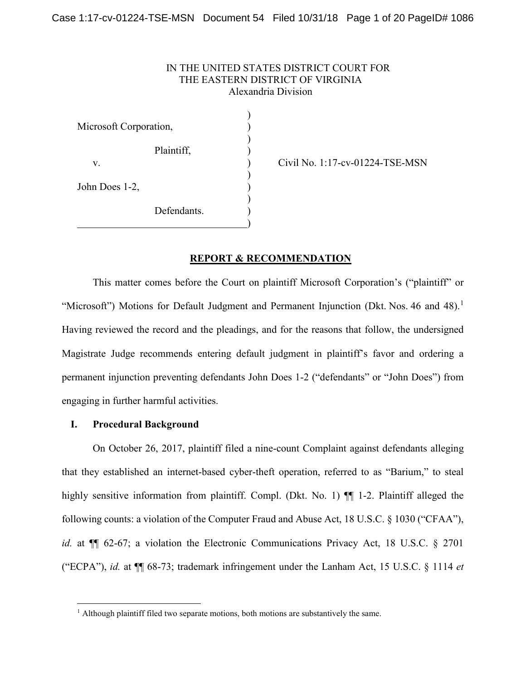## IN THE UNITED STATES DISTRICT COURT FOR THE EASTERN DISTRICT OF VIRGINIA Alexandria Division

) Microsoft Corporation, (1997) ) Plaintiff, ) v. ) Civil No. 1:17-cv-01224-TSE-MSN ) John Does 1-2, ) Defendants. )

## **REPORT & RECOMMENDATION**

This matter comes before the Court on plaintiff Microsoft Corporation's ("plaintiff" or "Microsoft") Motions for Default Judgment and Permanent Injunction (Dkt. Nos. 46 and 48).<sup>1</sup> Having reviewed the record and the pleadings, and for the reasons that follow, the undersigned Magistrate Judge recommends entering default judgment in plaintiff's favor and ordering a permanent injunction preventing defendants John Does 1-2 ("defendants" or "John Does") from engaging in further harmful activities.

### **I. Procedural Background**

On October 26, 2017, plaintiff filed a nine-count Complaint against defendants alleging that they established an internet-based cyber-theft operation, referred to as "Barium," to steal highly sensitive information from plaintiff. Compl. (Dkt. No. 1)  $\P$  1-2. Plaintiff alleged the following counts: a violation of the Computer Fraud and Abuse Act, 18 U.S.C. § 1030 ("CFAA"), *id.* at  $\P$  62-67; a violation the Electronic Communications Privacy Act, 18 U.S.C. § 2701 ("ECPA"), *id.* at ¶¶ 68-73; trademark infringement under the Lanham Act, 15 U.S.C. § 1114 *et* 

<sup>&</sup>lt;sup>1</sup> Although plaintiff filed two separate motions, both motions are substantively the same.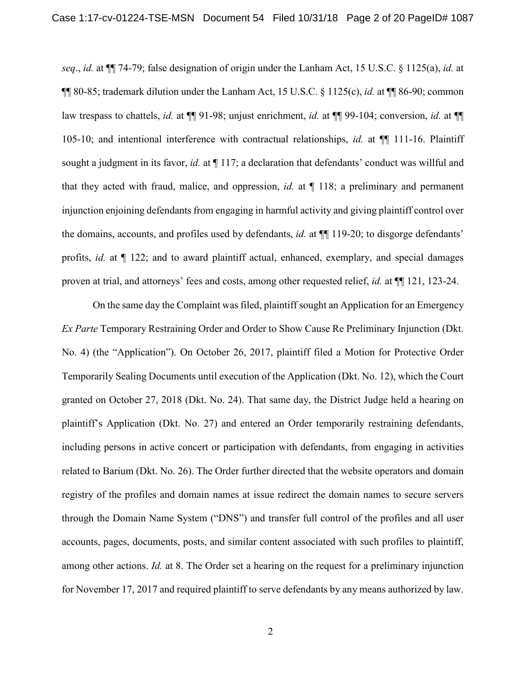*seq*., *id.* at ¶¶ 74-79; false designation of origin under the Lanham Act, 15 U.S.C. § 1125(a), *id.* at ¶¶ 80-85; trademark dilution under the Lanham Act, 15 U.S.C. § 1125(c), *id.* at ¶¶ 86-90; common law trespass to chattels, *id.* at ¶¶ 91-98; unjust enrichment, *id.* at ¶¶ 99-104; conversion, *id.* at ¶¶ 105-10; and intentional interference with contractual relationships, *id.* at ¶¶ 111-16. Plaintiff sought a judgment in its favor, *id.* at  $\P$  117; a declaration that defendants' conduct was willful and that they acted with fraud, malice, and oppression, *id.* at ¶ 118; a preliminary and permanent injunction enjoining defendants from engaging in harmful activity and giving plaintiff control over the domains, accounts, and profiles used by defendants, *id.* at ¶¶ 119-20; to disgorge defendants' profits, *id.* at ¶ 122; and to award plaintiff actual, enhanced, exemplary, and special damages proven at trial, and attorneys' fees and costs, among other requested relief, *id.* at ¶¶ 121, 123-24.

On the same day the Complaint was filed, plaintiff sought an Application for an Emergency *Ex Parte* Temporary Restraining Order and Order to Show Cause Re Preliminary Injunction (Dkt. No. 4) (the "Application"). On October 26, 2017, plaintiff filed a Motion for Protective Order Temporarily Sealing Documents until execution of the Application (Dkt. No. 12), which the Court granted on October 27, 2018 (Dkt. No. 24). That same day, the District Judge held a hearing on plaintiff's Application (Dkt. No. 27) and entered an Order temporarily restraining defendants, including persons in active concert or participation with defendants, from engaging in activities related to Barium (Dkt. No. 26). The Order further directed that the website operators and domain registry of the profiles and domain names at issue redirect the domain names to secure servers through the Domain Name System ("DNS") and transfer full control of the profiles and all user accounts, pages, documents, posts, and similar content associated with such profiles to plaintiff, among other actions. *Id.* at 8. The Order set a hearing on the request for a preliminary injunction for November 17, 2017 and required plaintiff to serve defendants by any means authorized by law.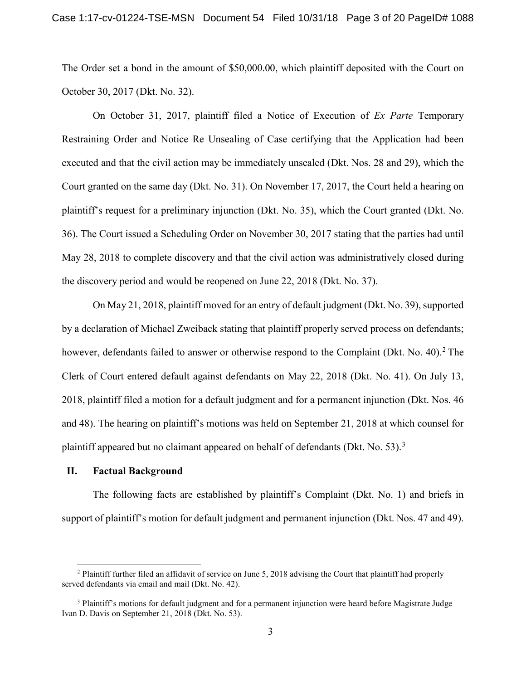The Order set a bond in the amount of \$50,000.00, which plaintiff deposited with the Court on October 30, 2017 (Dkt. No. 32).

On October 31, 2017, plaintiff filed a Notice of Execution of *Ex Parte* Temporary Restraining Order and Notice Re Unsealing of Case certifying that the Application had been executed and that the civil action may be immediately unsealed (Dkt. Nos. 28 and 29), which the Court granted on the same day (Dkt. No. 31). On November 17, 2017, the Court held a hearing on plaintiff's request for a preliminary injunction (Dkt. No. 35), which the Court granted (Dkt. No. 36). The Court issued a Scheduling Order on November 30, 2017 stating that the parties had until May 28, 2018 to complete discovery and that the civil action was administratively closed during the discovery period and would be reopened on June 22, 2018 (Dkt. No. 37).

On May 21, 2018, plaintiff moved for an entry of default judgment (Dkt. No. 39), supported by a declaration of Michael Zweiback stating that plaintiff properly served process on defendants; however, defendants failed to answer or otherwise respond to the Complaint (Dkt. No. 40).<sup>2</sup> The Clerk of Court entered default against defendants on May 22, 2018 (Dkt. No. 41). On July 13, 2018, plaintiff filed a motion for a default judgment and for a permanent injunction (Dkt. Nos. 46 and 48). The hearing on plaintiff's motions was held on September 21, 2018 at which counsel for plaintiff appeared but no claimant appeared on behalf of defendants (Dkt. No. 53).<sup>3</sup>

#### **II. Factual Background**

The following facts are established by plaintiff's Complaint (Dkt. No. 1) and briefs in support of plaintiff's motion for default judgment and permanent injunction (Dkt. Nos. 47 and 49).

<sup>&</sup>lt;sup>2</sup> Plaintiff further filed an affidavit of service on June 5, 2018 advising the Court that plaintiff had properly served defendants via email and mail (Dkt. No. 42).

<sup>&</sup>lt;sup>3</sup> Plaintiff's motions for default judgment and for a permanent injunction were heard before Magistrate Judge Ivan D. Davis on September 21, 2018 (Dkt. No. 53).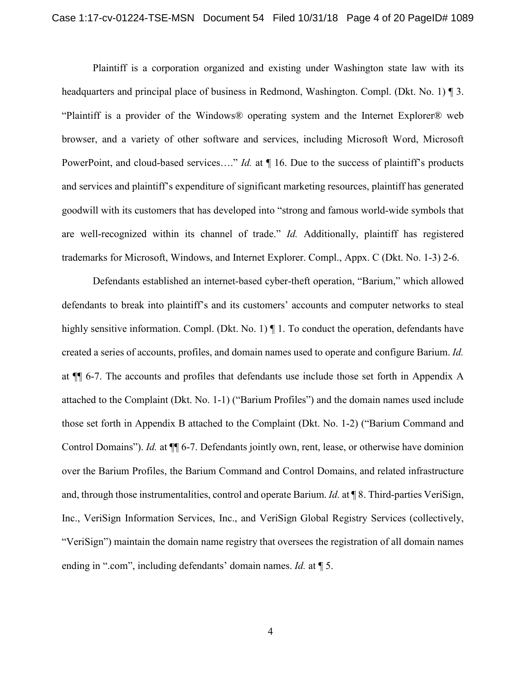Plaintiff is a corporation organized and existing under Washington state law with its headquarters and principal place of business in Redmond, Washington. Compl. (Dkt. No. 1) ¶ 3. "Plaintiff is a provider of the Windows® operating system and the Internet Explorer® web browser, and a variety of other software and services, including Microsoft Word, Microsoft PowerPoint, and cloud-based services...." *Id.* at  $\P$  16. Due to the success of plaintiff's products and services and plaintiff's expenditure of significant marketing resources, plaintiff has generated goodwill with its customers that has developed into "strong and famous world-wide symbols that are well-recognized within its channel of trade." *Id.* Additionally, plaintiff has registered trademarks for Microsoft, Windows, and Internet Explorer. Compl., Appx. C (Dkt. No. 1-3) 2-6.

Defendants established an internet-based cyber-theft operation, "Barium," which allowed defendants to break into plaintiff's and its customers' accounts and computer networks to steal highly sensitive information. Compl. (Dkt. No. 1)  $\P$  1. To conduct the operation, defendants have created a series of accounts, profiles, and domain names used to operate and configure Barium. *Id.* at ¶¶ 6-7. The accounts and profiles that defendants use include those set forth in Appendix A attached to the Complaint (Dkt. No. 1-1) ("Barium Profiles") and the domain names used include those set forth in Appendix B attached to the Complaint (Dkt. No. 1-2) ("Barium Command and Control Domains"). *Id.* at  $\P$  6-7. Defendants jointly own, rent, lease, or otherwise have dominion over the Barium Profiles, the Barium Command and Control Domains, and related infrastructure and, through those instrumentalities, control and operate Barium. *Id.* at ¶ 8. Third-parties VeriSign, Inc., VeriSign Information Services, Inc., and VeriSign Global Registry Services (collectively, "VeriSign") maintain the domain name registry that oversees the registration of all domain names ending in ".com", including defendants' domain names. *Id.* at ¶ 5.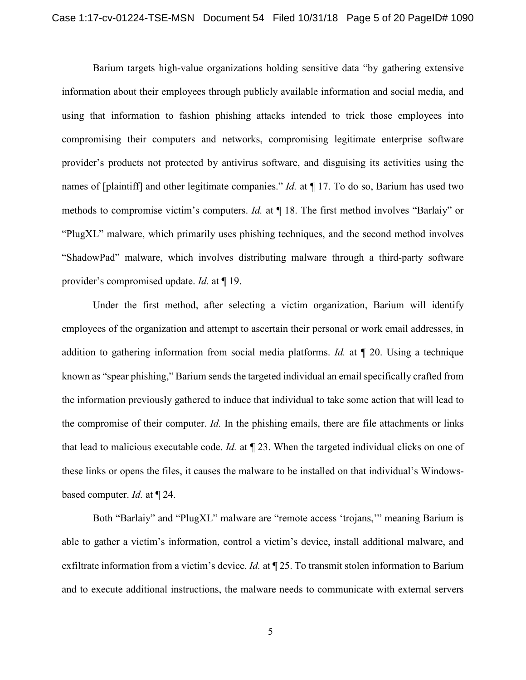Barium targets high-value organizations holding sensitive data "by gathering extensive information about their employees through publicly available information and social media, and using that information to fashion phishing attacks intended to trick those employees into compromising their computers and networks, compromising legitimate enterprise software provider's products not protected by antivirus software, and disguising its activities using the names of [plaintiff] and other legitimate companies." *Id.* at ¶ 17. To do so, Barium has used two methods to compromise victim's computers. *Id.* at ¶ 18. The first method involves "Barlaiy" or "PlugXL" malware, which primarily uses phishing techniques, and the second method involves "ShadowPad" malware, which involves distributing malware through a third-party software provider's compromised update. *Id.* at ¶ 19.

Under the first method, after selecting a victim organization, Barium will identify employees of the organization and attempt to ascertain their personal or work email addresses, in addition to gathering information from social media platforms. *Id.* at ¶ 20. Using a technique known as "spear phishing," Barium sends the targeted individual an email specifically crafted from the information previously gathered to induce that individual to take some action that will lead to the compromise of their computer. *Id.* In the phishing emails, there are file attachments or links that lead to malicious executable code. *Id.* at ¶ 23. When the targeted individual clicks on one of these links or opens the files, it causes the malware to be installed on that individual's Windowsbased computer. *Id.* at ¶ 24.

Both "Barlaiy" and "PlugXL" malware are "remote access 'trojans,'" meaning Barium is able to gather a victim's information, control a victim's device, install additional malware, and exfiltrate information from a victim's device. *Id.* at ¶ 25. To transmit stolen information to Barium and to execute additional instructions, the malware needs to communicate with external servers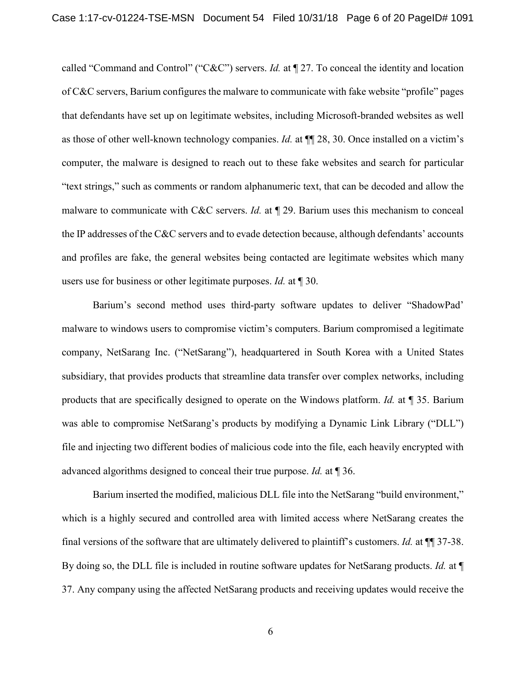called "Command and Control" ("C&C") servers. *Id.* at ¶ 27. To conceal the identity and location of C&C servers, Barium configures the malware to communicate with fake website "profile" pages that defendants have set up on legitimate websites, including Microsoft-branded websites as well as those of other well-known technology companies. *Id.* at ¶¶ 28, 30. Once installed on a victim's computer, the malware is designed to reach out to these fake websites and search for particular "text strings," such as comments or random alphanumeric text, that can be decoded and allow the malware to communicate with C&C servers. *Id.* at ¶ 29. Barium uses this mechanism to conceal the IP addresses of the C&C servers and to evade detection because, although defendants' accounts and profiles are fake, the general websites being contacted are legitimate websites which many users use for business or other legitimate purposes. *Id.* at ¶ 30.

Barium's second method uses third-party software updates to deliver "ShadowPad' malware to windows users to compromise victim's computers. Barium compromised a legitimate company, NetSarang Inc. ("NetSarang"), headquartered in South Korea with a United States subsidiary, that provides products that streamline data transfer over complex networks, including products that are specifically designed to operate on the Windows platform. *Id.* at ¶ 35. Barium was able to compromise NetSarang's products by modifying a Dynamic Link Library ("DLL") file and injecting two different bodies of malicious code into the file, each heavily encrypted with advanced algorithms designed to conceal their true purpose. *Id.* at ¶ 36.

Barium inserted the modified, malicious DLL file into the NetSarang "build environment," which is a highly secured and controlled area with limited access where NetSarang creates the final versions of the software that are ultimately delivered to plaintiff's customers. *Id.* at ¶¶ 37-38. By doing so, the DLL file is included in routine software updates for NetSarang products. *Id.* at ¶ 37. Any company using the affected NetSarang products and receiving updates would receive the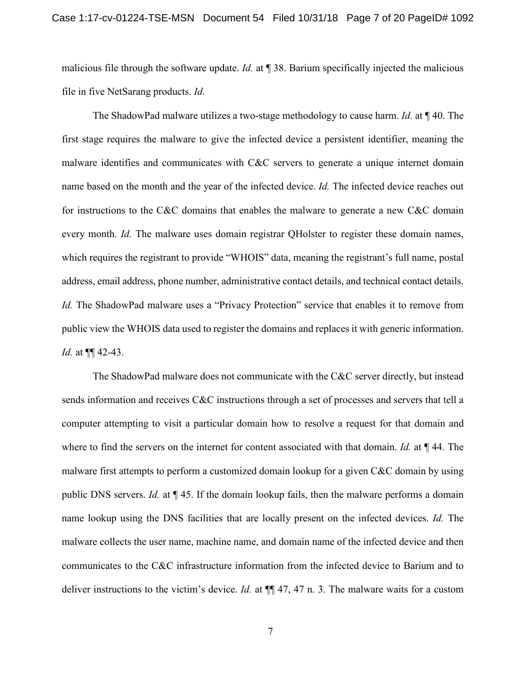malicious file through the software update. *Id.* at ¶ 38. Barium specifically injected the malicious file in five NetSarang products. *Id.*

The ShadowPad malware utilizes a two-stage methodology to cause harm. *Id.* at ¶ 40. The first stage requires the malware to give the infected device a persistent identifier, meaning the malware identifies and communicates with C&C servers to generate a unique internet domain name based on the month and the year of the infected device. *Id.* The infected device reaches out for instructions to the C&C domains that enables the malware to generate a new C&C domain every month. *Id.* The malware uses domain registrar QHolster to register these domain names, which requires the registrant to provide "WHOIS" data, meaning the registrant's full name, postal address, email address, phone number, administrative contact details, and technical contact details. *Id.* The ShadowPad malware uses a "Privacy Protection" service that enables it to remove from public view the WHOIS data used to register the domains and replaces it with generic information. *Id.* at ¶¶ 42-43.

The ShadowPad malware does not communicate with the C&C server directly, but instead sends information and receives C&C instructions through a set of processes and servers that tell a computer attempting to visit a particular domain how to resolve a request for that domain and where to find the servers on the internet for content associated with that domain. *Id.* at ¶ 44. The malware first attempts to perform a customized domain lookup for a given C&C domain by using public DNS servers. *Id.* at ¶ 45. If the domain lookup fails, then the malware performs a domain name lookup using the DNS facilities that are locally present on the infected devices. *Id.* The malware collects the user name, machine name, and domain name of the infected device and then communicates to the C&C infrastructure information from the infected device to Barium and to deliver instructions to the victim's device. *Id.* at ¶¶ 47, 47 n. 3. The malware waits for a custom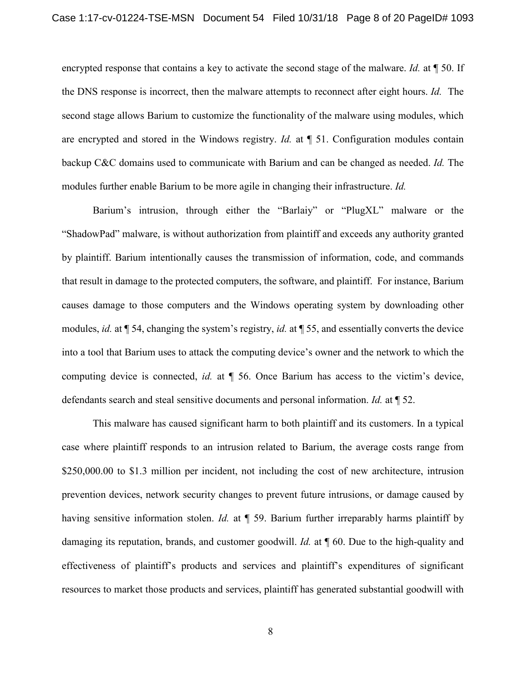encrypted response that contains a key to activate the second stage of the malware. *Id.* at ¶ 50. If the DNS response is incorrect, then the malware attempts to reconnect after eight hours. *Id.* The second stage allows Barium to customize the functionality of the malware using modules, which are encrypted and stored in the Windows registry. *Id.* at ¶ 51. Configuration modules contain backup C&C domains used to communicate with Barium and can be changed as needed. *Id.* The modules further enable Barium to be more agile in changing their infrastructure. *Id.*

Barium's intrusion, through either the "Barlaiy" or "PlugXL" malware or the "ShadowPad" malware, is without authorization from plaintiff and exceeds any authority granted by plaintiff. Barium intentionally causes the transmission of information, code, and commands that result in damage to the protected computers, the software, and plaintiff. For instance, Barium causes damage to those computers and the Windows operating system by downloading other modules, *id.* at ¶ 54, changing the system's registry, *id.* at ¶ 55, and essentially converts the device into a tool that Barium uses to attack the computing device's owner and the network to which the computing device is connected, *id.* at ¶ 56. Once Barium has access to the victim's device, defendants search and steal sensitive documents and personal information. *Id.* at ¶ 52.

This malware has caused significant harm to both plaintiff and its customers. In a typical case where plaintiff responds to an intrusion related to Barium, the average costs range from \$250,000.00 to \$1.3 million per incident, not including the cost of new architecture, intrusion prevention devices, network security changes to prevent future intrusions, or damage caused by having sensitive information stolen. *Id.* at  $\P$  59. Barium further irreparably harms plaintiff by damaging its reputation, brands, and customer goodwill. *Id.* at ¶ 60. Due to the high-quality and effectiveness of plaintiff's products and services and plaintiff's expenditures of significant resources to market those products and services, plaintiff has generated substantial goodwill with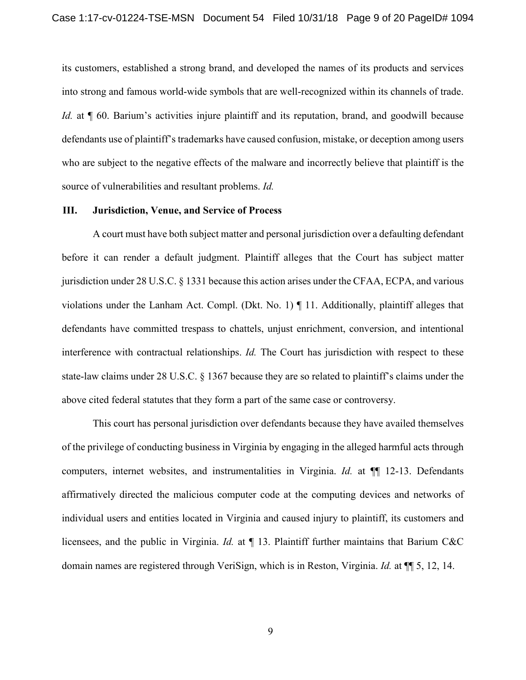its customers, established a strong brand, and developed the names of its products and services into strong and famous world-wide symbols that are well-recognized within its channels of trade. *Id.* at  $\llbracket 60$ . Barium's activities injure plaintiff and its reputation, brand, and goodwill because defendants use of plaintiff's trademarks have caused confusion, mistake, or deception among users who are subject to the negative effects of the malware and incorrectly believe that plaintiff is the source of vulnerabilities and resultant problems. *Id.*

### **III. Jurisdiction, Venue, and Service of Process**

A court must have both subject matter and personal jurisdiction over a defaulting defendant before it can render a default judgment. Plaintiff alleges that the Court has subject matter jurisdiction under 28 U.S.C. § 1331 because this action arises under the CFAA, ECPA, and various violations under the Lanham Act. Compl. (Dkt. No. 1)  $\P$  11. Additionally, plaintiff alleges that defendants have committed trespass to chattels, unjust enrichment, conversion, and intentional interference with contractual relationships. *Id.* The Court has jurisdiction with respect to these state-law claims under 28 U.S.C. § 1367 because they are so related to plaintiff's claims under the above cited federal statutes that they form a part of the same case or controversy.

This court has personal jurisdiction over defendants because they have availed themselves of the privilege of conducting business in Virginia by engaging in the alleged harmful acts through computers, internet websites, and instrumentalities in Virginia. *Id.* at ¶¶ 12-13. Defendants affirmatively directed the malicious computer code at the computing devices and networks of individual users and entities located in Virginia and caused injury to plaintiff, its customers and licensees, and the public in Virginia. *Id.* at ¶ 13. Plaintiff further maintains that Barium C&C domain names are registered through VeriSign, which is in Reston, Virginia. *Id.* at ¶¶ 5, 12, 14.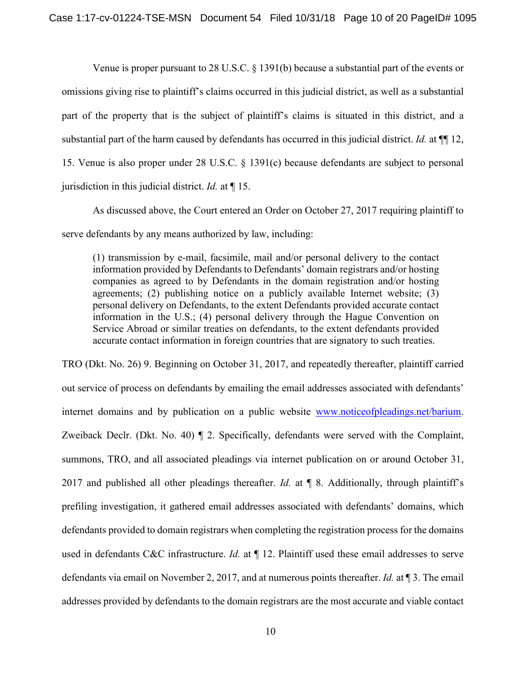Venue is proper pursuant to 28 U.S.C. § 1391(b) because a substantial part of the events or omissions giving rise to plaintiff's claims occurred in this judicial district, as well as a substantial part of the property that is the subject of plaintiff's claims is situated in this district, and a substantial part of the harm caused by defendants has occurred in this judicial district. *Id.* at ¶¶ 12, 15. Venue is also proper under 28 U.S.C. § 1391(c) because defendants are subject to personal jurisdiction in this judicial district. *Id.* at ¶ 15.

As discussed above, the Court entered an Order on October 27, 2017 requiring plaintiff to serve defendants by any means authorized by law, including:

(1) transmission by e-mail, facsimile, mail and/or personal delivery to the contact information provided by Defendants to Defendants' domain registrars and/or hosting companies as agreed to by Defendants in the domain registration and/or hosting agreements; (2) publishing notice on a publicly available Internet website; (3) personal delivery on Defendants, to the extent Defendants provided accurate contact information in the U.S.; (4) personal delivery through the Hague Convention on Service Abroad or similar treaties on defendants, to the extent defendants provided accurate contact information in foreign countries that are signatory to such treaties.

TRO (Dkt. No. 26) 9. Beginning on October 31, 2017, and repeatedly thereafter, plaintiff carried out service of process on defendants by emailing the email addresses associated with defendants' internet domains and by publication on a public website www.noticeofpleadings.net/barium. Zweiback Declr. (Dkt. No. 40) ¶ 2. Specifically, defendants were served with the Complaint, summons, TRO, and all associated pleadings via internet publication on or around October 31, 2017 and published all other pleadings thereafter. *Id.* at ¶ 8. Additionally, through plaintiff's prefiling investigation, it gathered email addresses associated with defendants' domains, which defendants provided to domain registrars when completing the registration process for the domains used in defendants C&C infrastructure. *Id.* at  $\P$  12. Plaintiff used these email addresses to serve defendants via email on November 2, 2017, and at numerous points thereafter. *Id.* at ¶ 3. The email addresses provided by defendants to the domain registrars are the most accurate and viable contact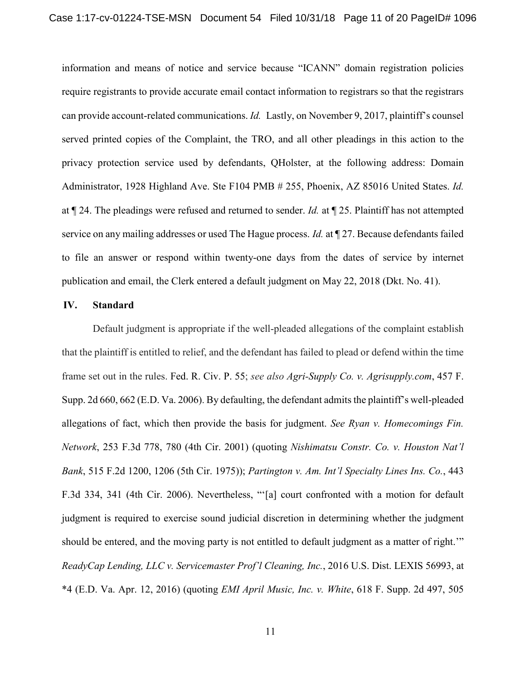information and means of notice and service because "ICANN" domain registration policies require registrants to provide accurate email contact information to registrars so that the registrars can provide account-related communications. *Id.* Lastly, on November 9, 2017, plaintiff's counsel served printed copies of the Complaint, the TRO, and all other pleadings in this action to the privacy protection service used by defendants, QHolster, at the following address: Domain Administrator, 1928 Highland Ave. Ste F104 PMB # 255, Phoenix, AZ 85016 United States. *Id.* at ¶ 24. The pleadings were refused and returned to sender. *Id.* at ¶ 25. Plaintiff has not attempted service on any mailing addresses or used The Hague process. *Id.* at ¶ 27. Because defendants failed to file an answer or respond within twenty-one days from the dates of service by internet publication and email, the Clerk entered a default judgment on May 22, 2018 (Dkt. No. 41).

### **IV. Standard**

Default judgment is appropriate if the well-pleaded allegations of the complaint establish that the plaintiff is entitled to relief, and the defendant has failed to plead or defend within the time frame set out in the rules. Fed. R. Civ. P. 55; *see also Agri-Supply Co. v. Agrisupply.com*, 457 F. Supp. 2d 660, 662 (E.D. Va. 2006). By defaulting, the defendant admits the plaintiff's well-pleaded allegations of fact, which then provide the basis for judgment. *See Ryan v. Homecomings Fin. Network*, 253 F.3d 778, 780 (4th Cir. 2001) (quoting *Nishimatsu Constr. Co. v. Houston Nat'l Bank*, 515 F.2d 1200, 1206 (5th Cir. 1975)); *Partington v. Am. Int'l Specialty Lines Ins. Co.*, 443 F.3d 334, 341 (4th Cir. 2006). Nevertheless, "'[a] court confronted with a motion for default judgment is required to exercise sound judicial discretion in determining whether the judgment should be entered, and the moving party is not entitled to default judgment as a matter of right.'" *ReadyCap Lending, LLC v. Servicemaster Prof'l Cleaning, Inc.*, 2016 U.S. Dist. LEXIS 56993, at \*4 (E.D. Va. Apr. 12, 2016) (quoting *EMI April Music, Inc. v. White*, 618 F. Supp. 2d 497, 505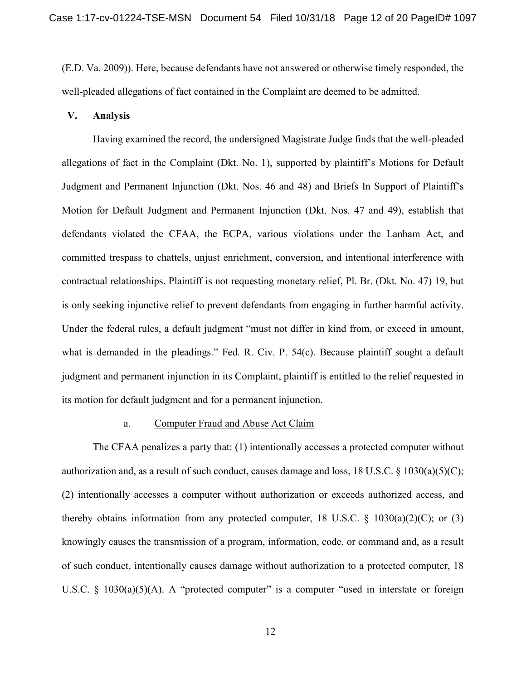(E.D. Va. 2009)). Here, because defendants have not answered or otherwise timely responded, the well-pleaded allegations of fact contained in the Complaint are deemed to be admitted.

## **V. Analysis**

Having examined the record, the undersigned Magistrate Judge finds that the well-pleaded allegations of fact in the Complaint (Dkt. No. 1), supported by plaintiff's Motions for Default Judgment and Permanent Injunction (Dkt. Nos. 46 and 48) and Briefs In Support of Plaintiff's Motion for Default Judgment and Permanent Injunction (Dkt. Nos. 47 and 49), establish that defendants violated the CFAA, the ECPA, various violations under the Lanham Act, and committed trespass to chattels, unjust enrichment, conversion, and intentional interference with contractual relationships. Plaintiff is not requesting monetary relief, Pl. Br. (Dkt. No. 47) 19, but is only seeking injunctive relief to prevent defendants from engaging in further harmful activity. Under the federal rules, a default judgment "must not differ in kind from, or exceed in amount, what is demanded in the pleadings." Fed. R. Civ. P. 54(c). Because plaintiff sought a default judgment and permanent injunction in its Complaint, plaintiff is entitled to the relief requested in its motion for default judgment and for a permanent injunction.

#### a. Computer Fraud and Abuse Act Claim

The CFAA penalizes a party that: (1) intentionally accesses a protected computer without authorization and, as a result of such conduct, causes damage and loss, 18 U.S.C. § 1030(a)(5)(C); (2) intentionally accesses a computer without authorization or exceeds authorized access, and thereby obtains information from any protected computer, 18 U.S.C.  $\S$  1030(a)(2)(C); or (3) knowingly causes the transmission of a program, information, code, or command and, as a result of such conduct, intentionally causes damage without authorization to a protected computer, 18 U.S.C. § 1030(a)(5)(A). A "protected computer" is a computer "used in interstate or foreign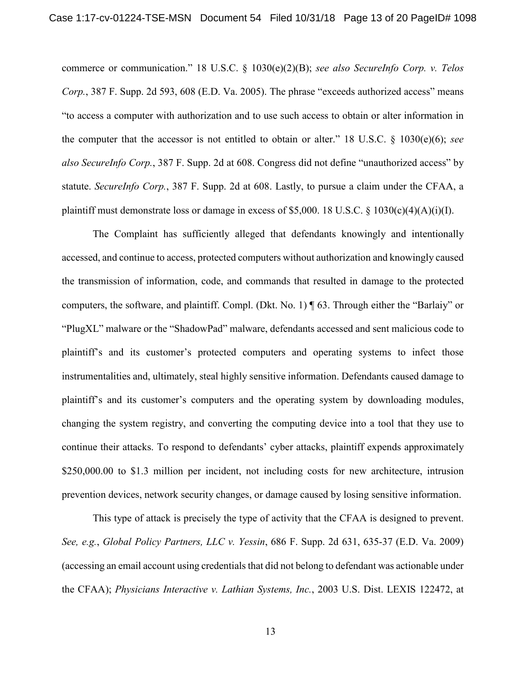commerce or communication." 18 U.S.C. § 1030(e)(2)(B); *see also SecureInfo Corp. v. Telos Corp.*, 387 F. Supp. 2d 593, 608 (E.D. Va. 2005). The phrase "exceeds authorized access" means "to access a computer with authorization and to use such access to obtain or alter information in the computer that the accessor is not entitled to obtain or alter." 18 U.S.C. § 1030(e)(6); *see also SecureInfo Corp.*, 387 F. Supp. 2d at 608. Congress did not define "unauthorized access" by statute. *SecureInfo Corp.*, 387 F. Supp. 2d at 608. Lastly, to pursue a claim under the CFAA, a plaintiff must demonstrate loss or damage in excess of \$5,000. 18 U.S.C. § 1030(c)(4)(A)(i)(I).

The Complaint has sufficiently alleged that defendants knowingly and intentionally accessed, and continue to access, protected computers without authorization and knowingly caused the transmission of information, code, and commands that resulted in damage to the protected computers, the software, and plaintiff. Compl. (Dkt. No. 1) ¶ 63. Through either the "Barlaiy" or "PlugXL" malware or the "ShadowPad" malware, defendants accessed and sent malicious code to plaintiff's and its customer's protected computers and operating systems to infect those instrumentalities and, ultimately, steal highly sensitive information. Defendants caused damage to plaintiff's and its customer's computers and the operating system by downloading modules, changing the system registry, and converting the computing device into a tool that they use to continue their attacks. To respond to defendants' cyber attacks, plaintiff expends approximately \$250,000.00 to \$1.3 million per incident, not including costs for new architecture, intrusion prevention devices, network security changes, or damage caused by losing sensitive information.

This type of attack is precisely the type of activity that the CFAA is designed to prevent. *See, e.g.*, *Global Policy Partners, LLC v. Yessin*, 686 F. Supp. 2d 631, 635-37 (E.D. Va. 2009) (accessing an email account using credentials that did not belong to defendant was actionable under the CFAA); *Physicians Interactive v. Lathian Systems, Inc.*, 2003 U.S. Dist. LEXIS 122472, at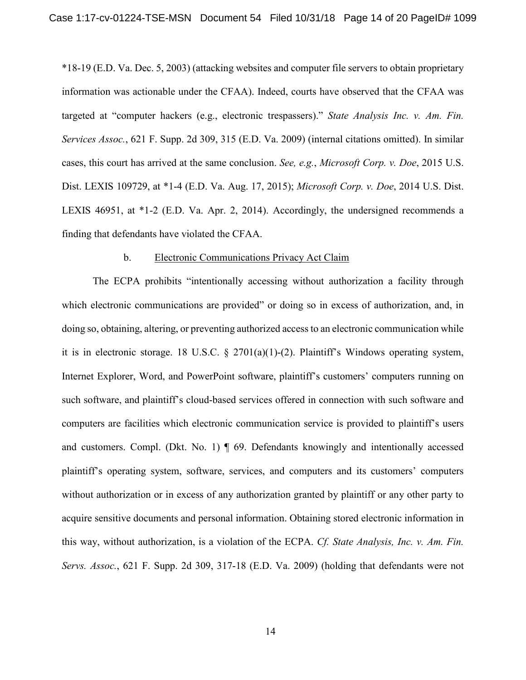\*18-19 (E.D. Va. Dec. 5, 2003) (attacking websites and computer file servers to obtain proprietary information was actionable under the CFAA). Indeed, courts have observed that the CFAA was targeted at "computer hackers (e.g., electronic trespassers)." *State Analysis Inc. v. Am. Fin. Services Assoc.*, 621 F. Supp. 2d 309, 315 (E.D. Va. 2009) (internal citations omitted). In similar cases, this court has arrived at the same conclusion. *See, e.g.*, *Microsoft Corp. v. Doe*, 2015 U.S. Dist. LEXIS 109729, at \*1-4 (E.D. Va. Aug. 17, 2015); *Microsoft Corp. v. Doe*, 2014 U.S. Dist. LEXIS 46951, at \*1-2 (E.D. Va. Apr. 2, 2014). Accordingly, the undersigned recommends a finding that defendants have violated the CFAA.

## b. Electronic Communications Privacy Act Claim

The ECPA prohibits "intentionally accessing without authorization a facility through which electronic communications are provided" or doing so in excess of authorization, and, in doing so, obtaining, altering, or preventing authorized access to an electronic communication while it is in electronic storage. 18 U.S.C. § 2701(a)(1)-(2). Plaintiff's Windows operating system, Internet Explorer, Word, and PowerPoint software, plaintiff's customers' computers running on such software, and plaintiff's cloud-based services offered in connection with such software and computers are facilities which electronic communication service is provided to plaintiff's users and customers. Compl. (Dkt. No. 1)  $\P$  69. Defendants knowingly and intentionally accessed plaintiff's operating system, software, services, and computers and its customers' computers without authorization or in excess of any authorization granted by plaintiff or any other party to acquire sensitive documents and personal information. Obtaining stored electronic information in this way, without authorization, is a violation of the ECPA. *Cf. State Analysis, Inc. v. Am. Fin. Servs. Assoc.*, 621 F. Supp. 2d 309, 317-18 (E.D. Va. 2009) (holding that defendants were not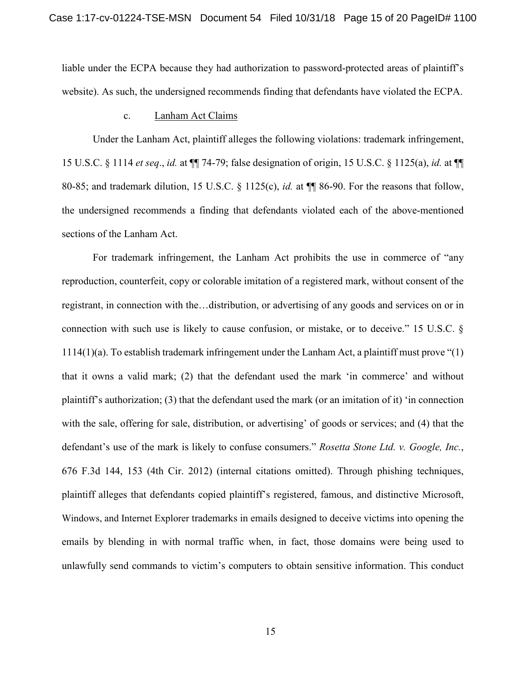liable under the ECPA because they had authorization to password-protected areas of plaintiff's website). As such, the undersigned recommends finding that defendants have violated the ECPA.

#### c. Lanham Act Claims

Under the Lanham Act, plaintiff alleges the following violations: trademark infringement, 15 U.S.C. § 1114 *et seq*., *id.* at ¶¶ 74-79; false designation of origin, 15 U.S.C. § 1125(a), *id.* at ¶¶ 80-85; and trademark dilution, 15 U.S.C. § 1125(c), *id.* at ¶¶ 86-90. For the reasons that follow, the undersigned recommends a finding that defendants violated each of the above-mentioned sections of the Lanham Act.

For trademark infringement, the Lanham Act prohibits the use in commerce of "any reproduction, counterfeit, copy or colorable imitation of a registered mark, without consent of the registrant, in connection with the…distribution, or advertising of any goods and services on or in connection with such use is likely to cause confusion, or mistake, or to deceive." 15 U.S.C. § 1114(1)(a). To establish trademark infringement under the Lanham Act, a plaintiff must prove "(1) that it owns a valid mark; (2) that the defendant used the mark 'in commerce' and without plaintiff's authorization; (3) that the defendant used the mark (or an imitation of it) 'in connection with the sale, offering for sale, distribution, or advertising' of goods or services; and (4) that the defendant's use of the mark is likely to confuse consumers." *Rosetta Stone Ltd. v. Google, Inc.*, 676 F.3d 144, 153 (4th Cir. 2012) (internal citations omitted). Through phishing techniques, plaintiff alleges that defendants copied plaintiff's registered, famous, and distinctive Microsoft, Windows, and Internet Explorer trademarks in emails designed to deceive victims into opening the emails by blending in with normal traffic when, in fact, those domains were being used to unlawfully send commands to victim's computers to obtain sensitive information. This conduct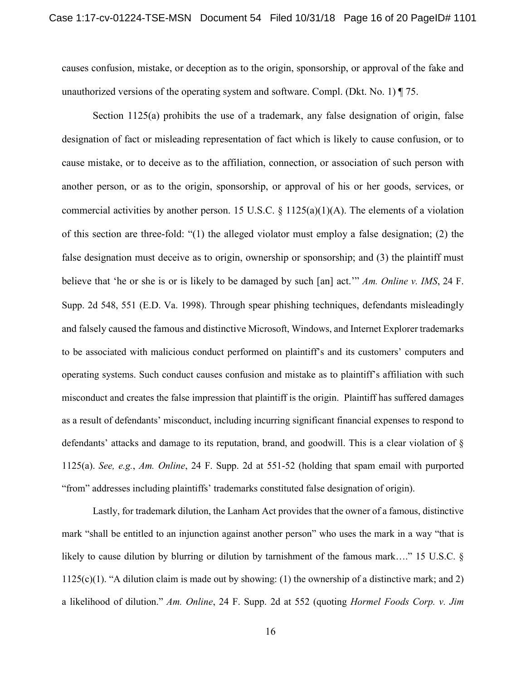causes confusion, mistake, or deception as to the origin, sponsorship, or approval of the fake and unauthorized versions of the operating system and software. Compl. (Dkt. No. 1) ¶ 75.

Section 1125(a) prohibits the use of a trademark, any false designation of origin, false designation of fact or misleading representation of fact which is likely to cause confusion, or to cause mistake, or to deceive as to the affiliation, connection, or association of such person with another person, or as to the origin, sponsorship, or approval of his or her goods, services, or commercial activities by another person. 15 U.S.C.  $\S$  1125(a)(1)(A). The elements of a violation of this section are three-fold: "(1) the alleged violator must employ a false designation; (2) the false designation must deceive as to origin, ownership or sponsorship; and (3) the plaintiff must believe that 'he or she is or is likely to be damaged by such [an] act.'" *Am. Online v. IMS*, 24 F. Supp. 2d 548, 551 (E.D. Va. 1998). Through spear phishing techniques, defendants misleadingly and falsely caused the famous and distinctive Microsoft, Windows, and Internet Explorer trademarks to be associated with malicious conduct performed on plaintiff's and its customers' computers and operating systems. Such conduct causes confusion and mistake as to plaintiff's affiliation with such misconduct and creates the false impression that plaintiff is the origin. Plaintiff has suffered damages as a result of defendants' misconduct, including incurring significant financial expenses to respond to defendants' attacks and damage to its reputation, brand, and goodwill. This is a clear violation of § 1125(a). *See, e.g.*, *Am. Online*, 24 F. Supp. 2d at 551-52 (holding that spam email with purported "from" addresses including plaintiffs' trademarks constituted false designation of origin).

Lastly, for trademark dilution, the Lanham Act provides that the owner of a famous, distinctive mark "shall be entitled to an injunction against another person" who uses the mark in a way "that is likely to cause dilution by blurring or dilution by tarnishment of the famous mark…." 15 U.S.C. §  $1125(c)(1)$ . "A dilution claim is made out by showing: (1) the ownership of a distinctive mark; and 2) a likelihood of dilution." *Am. Online*, 24 F. Supp. 2d at 552 (quoting *Hormel Foods Corp. v. Jim*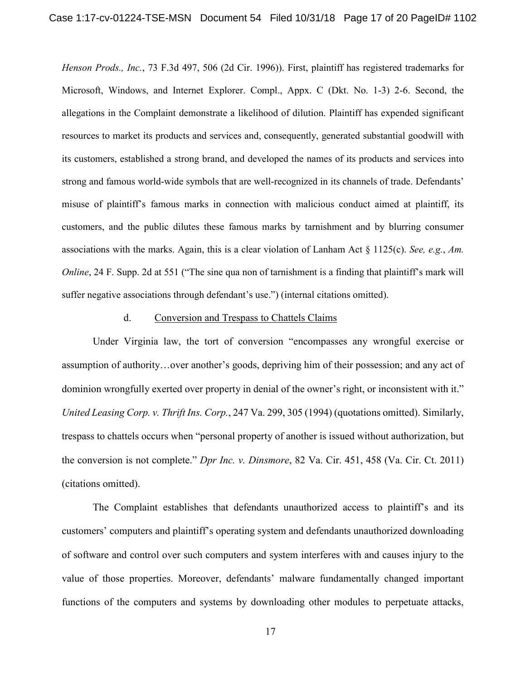*Henson Prods., Inc.*, 73 F.3d 497, 506 (2d Cir. 1996)). First, plaintiff has registered trademarks for Microsoft, Windows, and Internet Explorer. Compl., Appx. C (Dkt. No. 1-3) 2-6. Second, the allegations in the Complaint demonstrate a likelihood of dilution. Plaintiff has expended significant resources to market its products and services and, consequently, generated substantial goodwill with its customers, established a strong brand, and developed the names of its products and services into strong and famous world-wide symbols that are well-recognized in its channels of trade. Defendants' misuse of plaintiff's famous marks in connection with malicious conduct aimed at plaintiff, its customers, and the public dilutes these famous marks by tarnishment and by blurring consumer associations with the marks. Again, this is a clear violation of Lanham Act § 1125(c). *See, e.g.*, *Am. Online*, 24 F. Supp. 2d at 551 ("The sine qua non of tarnishment is a finding that plaintiff's mark will suffer negative associations through defendant's use.") (internal citations omitted).

## d. Conversion and Trespass to Chattels Claims

Under Virginia law, the tort of conversion "encompasses any wrongful exercise or assumption of authority…over another's goods, depriving him of their possession; and any act of dominion wrongfully exerted over property in denial of the owner's right, or inconsistent with it." *United Leasing Corp. v. Thrift Ins. Corp.*, 247 Va. 299, 305 (1994) (quotations omitted). Similarly, trespass to chattels occurs when "personal property of another is issued without authorization, but the conversion is not complete." *Dpr Inc. v. Dinsmore*, 82 Va. Cir. 451, 458 (Va. Cir. Ct. 2011) (citations omitted).

The Complaint establishes that defendants unauthorized access to plaintiff's and its customers' computers and plaintiff's operating system and defendants unauthorized downloading of software and control over such computers and system interferes with and causes injury to the value of those properties. Moreover, defendants' malware fundamentally changed important functions of the computers and systems by downloading other modules to perpetuate attacks,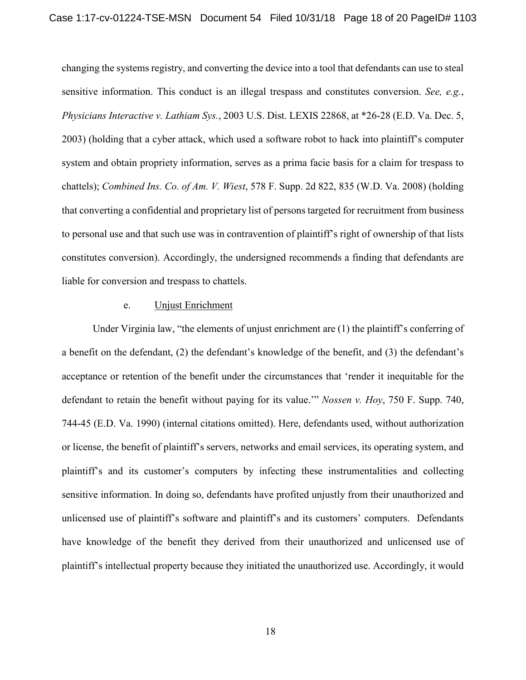changing the systems registry, and converting the device into a tool that defendants can use to steal sensitive information. This conduct is an illegal trespass and constitutes conversion. *See, e.g.*, *Physicians Interactive v. Lathiam Sys.*, 2003 U.S. Dist. LEXIS 22868, at \*26-28 (E.D. Va. Dec. 5, 2003) (holding that a cyber attack, which used a software robot to hack into plaintiff's computer system and obtain propriety information, serves as a prima facie basis for a claim for trespass to chattels); *Combined Ins. Co. of Am. V. Wiest*, 578 F. Supp. 2d 822, 835 (W.D. Va. 2008) (holding that converting a confidential and proprietary list of persons targeted for recruitment from business to personal use and that such use was in contravention of plaintiff's right of ownership of that lists constitutes conversion). Accordingly, the undersigned recommends a finding that defendants are liable for conversion and trespass to chattels.

### e. Unjust Enrichment

Under Virginia law, "the elements of unjust enrichment are (1) the plaintiff's conferring of a benefit on the defendant, (2) the defendant's knowledge of the benefit, and (3) the defendant's acceptance or retention of the benefit under the circumstances that 'render it inequitable for the defendant to retain the benefit without paying for its value.'" *Nossen v. Hoy*, 750 F. Supp. 740, 744-45 (E.D. Va. 1990) (internal citations omitted). Here, defendants used, without authorization or license, the benefit of plaintiff's servers, networks and email services, its operating system, and plaintiff's and its customer's computers by infecting these instrumentalities and collecting sensitive information. In doing so, defendants have profited unjustly from their unauthorized and unlicensed use of plaintiff's software and plaintiff's and its customers' computers. Defendants have knowledge of the benefit they derived from their unauthorized and unlicensed use of plaintiff's intellectual property because they initiated the unauthorized use. Accordingly, it would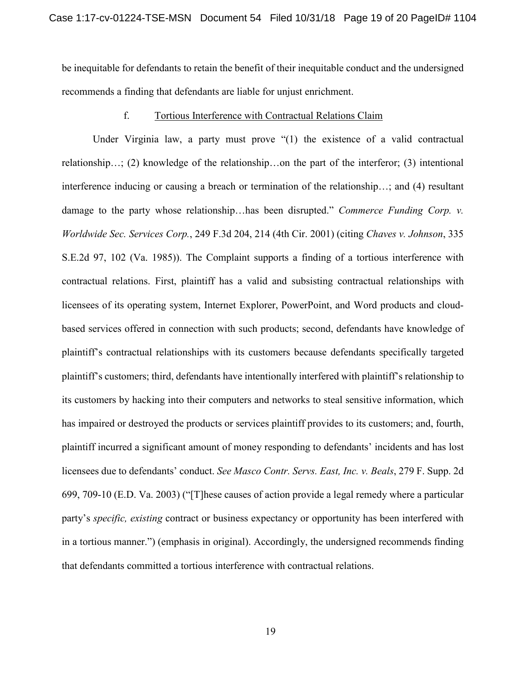be inequitable for defendants to retain the benefit of their inequitable conduct and the undersigned recommends a finding that defendants are liable for unjust enrichment.

# f. Tortious Interference with Contractual Relations Claim

Under Virginia law, a party must prove "(1) the existence of a valid contractual relationship…; (2) knowledge of the relationship…on the part of the interferor; (3) intentional interference inducing or causing a breach or termination of the relationship…; and (4) resultant damage to the party whose relationship…has been disrupted." *Commerce Funding Corp. v. Worldwide Sec. Services Corp.*, 249 F.3d 204, 214 (4th Cir. 2001) (citing *Chaves v. Johnson*, 335 S.E.2d 97, 102 (Va. 1985)). The Complaint supports a finding of a tortious interference with contractual relations. First, plaintiff has a valid and subsisting contractual relationships with licensees of its operating system, Internet Explorer, PowerPoint, and Word products and cloudbased services offered in connection with such products; second, defendants have knowledge of plaintiff's contractual relationships with its customers because defendants specifically targeted plaintiff's customers; third, defendants have intentionally interfered with plaintiff's relationship to its customers by hacking into their computers and networks to steal sensitive information, which has impaired or destroyed the products or services plaintiff provides to its customers; and, fourth, plaintiff incurred a significant amount of money responding to defendants' incidents and has lost licensees due to defendants' conduct. *See Masco Contr. Servs. East, Inc. v. Beals*, 279 F. Supp. 2d 699, 709-10 (E.D. Va. 2003) ("[T]hese causes of action provide a legal remedy where a particular party's *specific, existing* contract or business expectancy or opportunity has been interfered with in a tortious manner.") (emphasis in original). Accordingly, the undersigned recommends finding that defendants committed a tortious interference with contractual relations.